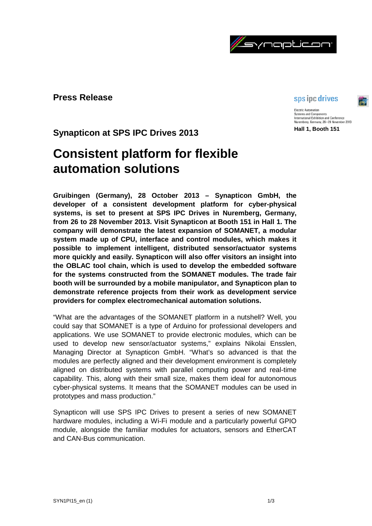

# **Press Release**

# sps ipc drives

**Electric Automation** Systems and Components<br>International Exhibition and Conference Nuremberg, Germany, 26-28 November 2013 **Hall 1, Booth 151**

**Synapticon at SPS IPC Drives 2013**

# **Consistent platform for flexible automation solutions**

**Gruibingen (Germany), 28 October 2013 – Synapticon GmbH, the developer of a consistent development platform for cyber-physical systems, is set to present at SPS IPC Drives in Nuremberg, Germany, from 26 to 28 November 2013. Visit Synapticon at Booth 151 in Hall 1. The company will demonstrate the latest expansion of SOMANET, a modular system made up of CPU, interface and control modules, which makes it possible to implement intelligent, distributed sensor/actuator systems more quickly and easily. Synapticon will also offer visitors an insight into the OBLAC tool chain, which is used to develop the embedded software for the systems constructed from the SOMANET modules. The trade fair booth will be surrounded by a mobile manipulator, and Synapticon plan to demonstrate reference projects from their work as development service providers for complex electromechanical automation solutions.**

"What are the advantages of the SOMANET platform in a nutshell? Well, you could say that SOMANET is a type of Arduino for professional developers and applications. We use SOMANET to provide electronic modules, which can be used to develop new sensor/actuator systems," explains Nikolai Ensslen, Managing Director at Synapticon GmbH. "What's so advanced is that the modules are perfectly aligned and their development environment is completely aligned on distributed systems with parallel computing power and real-time capability. This, along with their small size, makes them ideal for autonomous cyber-physical systems. It means that the SOMANET modules can be used in prototypes and mass production."

Synapticon will use SPS IPC Drives to present a series of new SOMANET hardware modules, including a Wi-Fi module and a particularly powerful GPIO module, alongside the familiar modules for actuators, sensors and EtherCAT and CAN-Bus communication.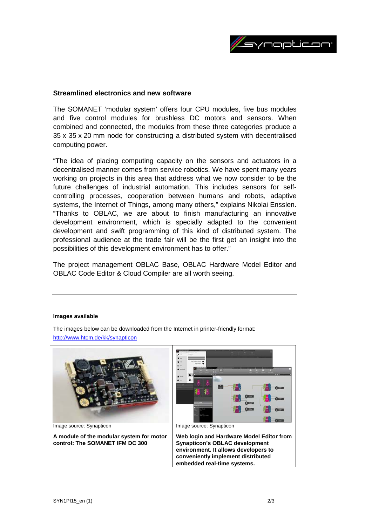

## **Streamlined electronics and new software**

The SOMANET 'modular system' offers four CPU modules, five bus modules and five control modules for brushless DC motors and sensors. When combined and connected, the modules from these three categories produce a 35 x 35 x 20 mm node for constructing a distributed system with decentralised computing power.

"The idea of placing computing capacity on the sensors and actuators in a decentralised manner comes from service robotics. We have spent many years working on projects in this area that address what we now consider to be the future challenges of industrial automation. This includes sensors for selfcontrolling processes, cooperation between humans and robots, adaptive systems, the Internet of Things, among many others," explains Nikolai Ensslen. "Thanks to OBLAC, we are about to finish manufacturing an innovative development environment, which is specially adapted to the convenient development and swift programming of this kind of distributed system. The professional audience at the trade fair will be the first get an insight into the possibilities of this development environment has to offer."

The project management OBLAC Base, OBLAC Hardware Model Editor and OBLAC Code Editor & Cloud Compiler are all worth seeing.

#### **Images available**

Image source: Synapticon **A module of the modular system for motor control: The SOMANET IFM DC 300** Image source: Synapticon **Web login and Hardware Model Editor from Synapticon's OBLAC development environment. It allows developers to conveniently implement distributed embedded real-time systems.**

The images below can be downloaded from the Internet in printer-friendly format: <http://www.htcm.de/kk/synapticon>